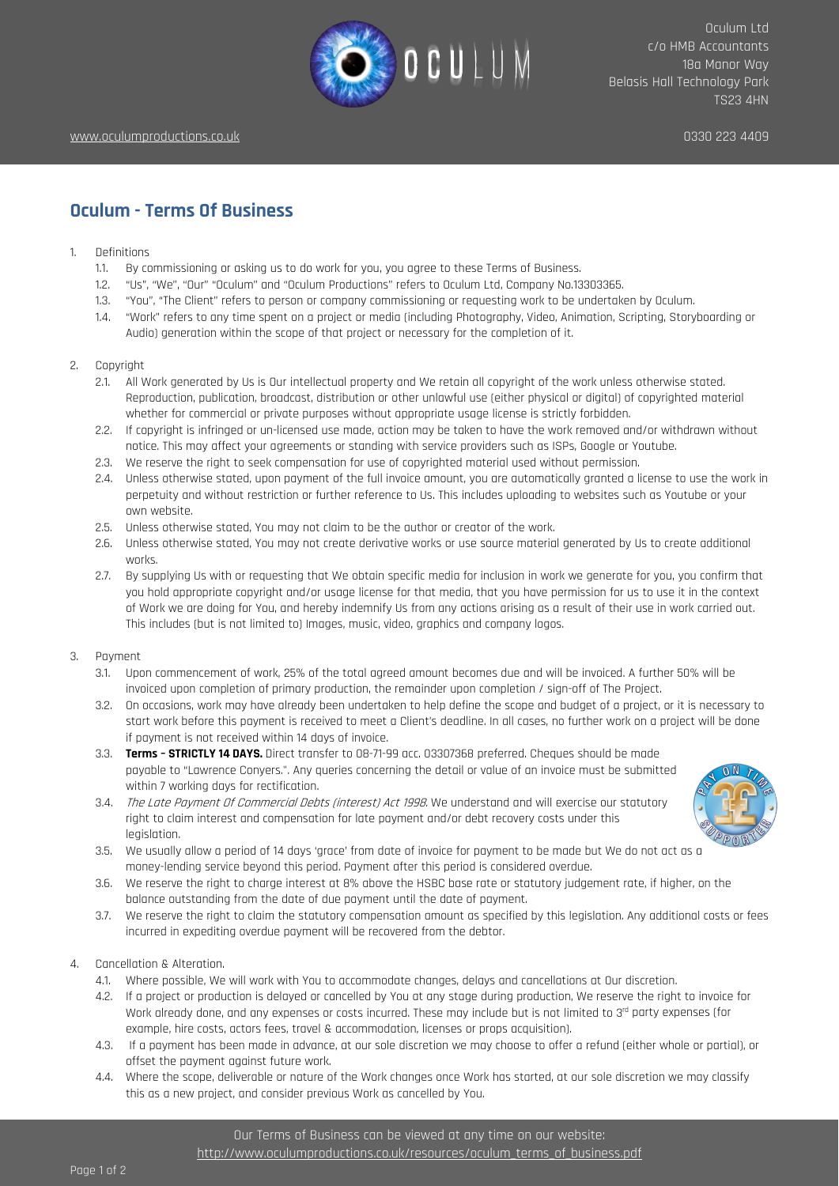

## **Oculum - Terms Of Business**

- 1. Definitions
	- 1.1. By commissioning or asking us to do work for you, you agree to these Terms of Business.
	- 1.2. "Us", "We", "Our" "Oculum" and "Oculum Productions" refers to Oculum Ltd, Company No.13303365.
	- 1.3. "You", "The Client" refers to person or company commissioning or requesting work to be undertaken by Oculum.
	- 1.4. "Work" refers to any time spent on a project or media (including Photography, Video, Animation, Scripting, Storyboarding or Audio) generation within the scope of that project or necessary for the completion of it.
- 2. Copyright
	- 2.1. All Work generated by Us is Our intellectual property and We retain all copyright of the work unless otherwise stated. Reproduction, publication, broadcast, distribution or other unlawful use (either physical or digital) of copyrighted material whether for commercial or private purposes without appropriate usage license is strictly forbidden.
	- 2.2. If copyright is infringed or un-licensed use made, action may be taken to have the work removed and/or withdrawn without notice. This may affect your agreements or standing with service providers such as ISPs, Google or Youtube.
	- 2.3. We reserve the right to seek compensation for use of copyrighted material used without permission.
	- 2.4. Unless otherwise stated, upon payment of the full invoice amount, you are automatically granted a license to use the work in perpetuity and without restriction or further reference to Us. This includes uploading to websites such as Youtube or your own website.
	- 2.5. Unless otherwise stated, You may not claim to be the author or creator of the work.
	- 2.6. Unless otherwise stated, You may not create derivative works or use source material generated by Us to create additional works.
	- 2.7. By supplying Us with or requesting that We obtain specific media for inclusion in work we generate for you, you confirm that you hold appropriate copyright and/or usage license for that media, that you have permission for us to use it in the context of Work we are doing for You, and hereby indemnify Us from any actions arising as a result of their use in work carried out. This includes (but is not limited to) Images, music, video, graphics and company logos.
- 3. Payment
	- 3.1. Upon commencement of work, 25% of the total agreed amount becomes due and will be invoiced. A further 50% will be invoiced upon completion of primary production, the remainder upon completion / sign-off of The Project.
	- 3.2. On occasions, work may have already been undertaken to help define the scope and budget of a project, or it is necessary to start work before this payment is received to meet a Client's deadline. In all cases, no further work on a project will be done if payment is not received within 14 days of invoice.
	- 3.3. **Terms – STRICTLY 14 DAYS.** Direct transfer to 08-71-99 acc. 03307368 preferred. Cheques should be made payable to "Lawrence Conyers.". Any queries concerning the detail or value of an invoice must be submitted within 7 working days for rectification.
	- 3.4. The Late Payment Of Commercial Debts (interest) Act 1998. We understand and will exercise our statutory right to claim interest and compensation for late payment and/or debt recovery costs under this legislation.



- 3.5. We usually allow a period of 14 days 'grace' from date of invoice for payment to be made but We do not act as a money-lending service beyond this period. Payment after this period is considered overdue.
- 3.6. We reserve the right to charge interest at 8% above the HSBC base rate or statutory judgement rate, if higher, on the balance outstanding from the date of due payment until the date of payment.
- 3.7. We reserve the right to claim the statutory compensation amount as specified by this legislation. Any additional costs or fees incurred in expediting overdue payment will be recovered from the debtor.
- 4. Cancellation & Alteration.
	- 4.1. Where possible, We will work with You to accommodate changes, delays and cancellations at Our discretion.
	- 4.2. If a project or production is delayed or cancelled by You at any stage during production, We reserve the right to invoice for Work already done, and any expenses or costs incurred. These may include but is not limited to 3rd party expenses (for example, hire costs, actors fees, travel & accommodation, licenses or props acquisition).
	- 4.3. If a payment has been made in advance, at our sole discretion we may choose to offer a refund (either whole or partial), or offset the payment against future work.
	- 4.4. Where the scope, deliverable or nature of the Work changes once Work has started, at our sole discretion we may classify this as a new project, and consider previous Work as cancelled by You.